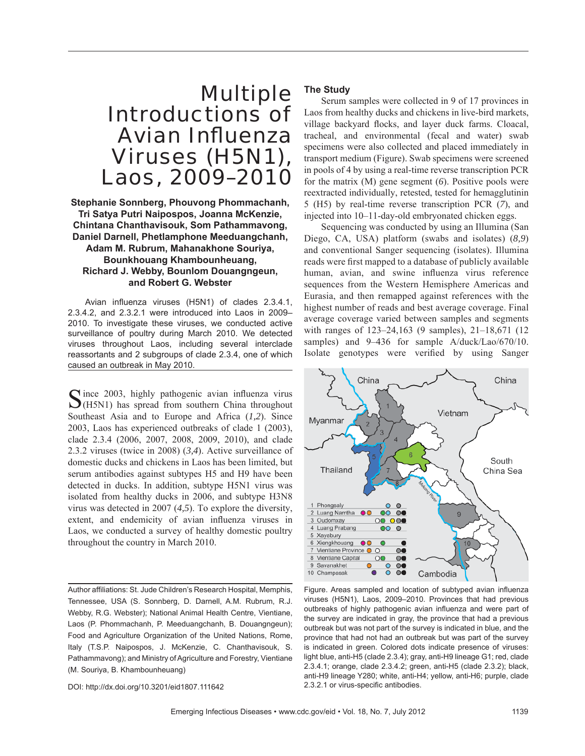# Multiple Introductions of **Avian Influenza** Viruses (H5N1), Laos, 2009–2010

**Stephanie Sonnberg, Phouvong Phommachanh, Tri Satya Putri Naipospos, Joanna McKenzie, Chintana Chanthavisouk, Som Pathammavong, Daniel Darnell, Phetlamphone Meeduangchanh, Adam M. Rubrum, Mahanakhone Souriya, Bounkhouang Khambounheuang, Richard J. Webby, Bounlom Douangngeun, and Robert G. Webster**

Avian influenza viruses (H5N1) of clades 2.3.4.1, 2.3.4.2, and 2.3.2.1 were introduced into Laos in 2009– 2010. To investigate these viruses, we conducted active surveillance of poultry during March 2010. We detected viruses throughout Laos, including several interclade reassortants and 2 subgroups of clade 2.3.4, one of which caused an outbreak in May 2010.

 $\Gamma$  ince 2003, highly pathogenic avian influenza virus  $\bigcup$ (H5N1) has spread from southern China throughout Southeast Asia and to Europe and Africa (*1,2*). Since 2003, Laos has experienced outbreaks of clade 1 (2003), clade 2.3.4 (2006, 2007, 2008, 2009, 2010), and clade 2.3.2 viruses (twice in 2008) (*3,4*). Active surveillance of domestic ducks and chickens in Laos has been limited, but serum antibodies against subtypes H5 and H9 have been detected in ducks. In addition, subtype H5N1 virus was isolated from healthy ducks in 2006, and subtype H3N8 virus was detected in 2007 (*4,5*). To explore the diversity, extent, and endemicity of avian influenza viruses in Laos, we conducted a survey of healthy domestic poultry throughout the country in March 2010.

Author affiliations: St. Jude Children's Research Hospital, Memphis, Tennessee, USA (S. Sonnberg, D. Darnell, A.M. Rubrum, R.J. Webby, R.G. Webster); National Animal Health Centre, Vientiane, Laos (P. Phommachanh, P. Meeduangchanh, B. Douangngeun); Food and Agriculture Organization of the United Nations, Rome, Italy (T.S.P. Naipospos, J. McKenzie, C. Chanthavisouk, S. Pathammavong); and Ministry of Agriculture and Forestry, Vientiane (M. Souriya, B. Khambounheuang)

DOI: http://dx.doi.org/10.3201/eid1807.111642

#### **The Study**

Serum samples were collected in 9 of 17 provinces in Laos from healthy ducks and chickens in live-bird markets, village backyard flocks, and layer duck farms. Cloacal, tracheal, and environmental (fecal and water) swab specimens were also collected and placed immediately in transport medium (Figure). Swab specimens were screened in pools of 4 by using a real-time reverse transcription PCR for the matrix (M) gene segment (*6*). Positive pools were reextracted individually, retested, tested for hemagglutinin 5 (H5) by real-time reverse transcription PCR (*7*), and injected into 10–11-day-old embryonated chicken eggs.

Sequencing was conducted by using an Illumina (San Diego, CA, USA) platform (swabs and isolates) (*8,9*) and conventional Sanger sequencing (isolates). Illumina reads were first mapped to a database of publicly available human, avian, and swine influenza virus reference sequences from the Western Hemisphere Americas and Eurasia, and then remapped against references with the highest number of reads and best average coverage. Final average coverage varied between samples and segments with ranges of 123–24,163 (9 samples), 21–18,671 (12 samples) and 9–436 for sample A/duck/Lao/670/10. Isolate genotypes were verified by using Sanger



Figure. Areas sampled and location of subtyped avian influenza viruses (H5N1), Laos, 2009–2010. Provinces that had previous outbreaks of highly pathogenic avian influenza and were part of the survey are indicated in gray, the province that had a previous outbreak but was not part of the survey is indicated in blue, and the province that had not had an outbreak but was part of the survey is indicated in green. Colored dots indicate presence of viruses: light blue, anti-H5 (clade 2.3.4); gray, anti-H9 lineage G1; red, clade 2.3.4.1; orange, clade 2.3.4.2; green, anti-H5 (clade 2.3.2); black, anti-H9 lineage Y280; white, anti-H4; yellow, anti-H6; purple, clade 2.3.2.1 or virus-specific antibodies.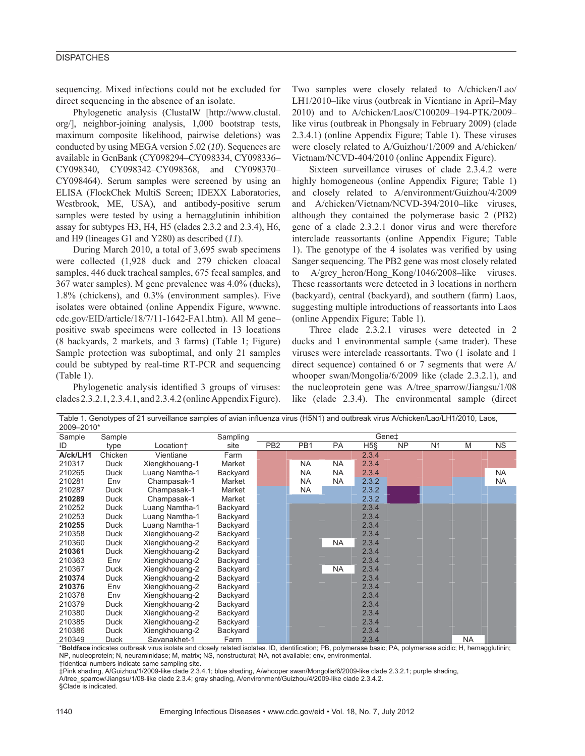# **DISPATCHES**

sequencing. Mixed infections could not be excluded for direct sequencing in the absence of an isolate.

Phylogenetic analysis (ClustalW [http://www.clustal. org/], neighbor-joining analysis, 1,000 bootstrap tests, maximum composite likelihood, pairwise deletions) was conducted by using MEGA version 5.02 (*10*). Sequences are available in GenBank (CY098294–CY098334, CY098336– CY098340, CY098342–CY098368, and CY098370– CY098464). Serum samples were screened by using an ELISA (FlockChek MultiS Screen; IDEXX Laboratories, Westbrook, ME, USA), and antibody-positive serum samples were tested by using a hemagglutinin inhibition assay for subtypes H3, H4, H5 (clades 2.3.2 and 2.3.4), H6, and H9 (lineages G1 and Y280) as described (*11*).

During March 2010, a total of 3,695 swab specimens were collected (1,928 duck and 279 chicken cloacal samples, 446 duck tracheal samples, 675 fecal samples, and 367 water samples). M gene prevalence was 4.0% (ducks), 1.8% (chickens), and 0.3% (environment samples). Five isolates were obtained (online Appendix Figure, wwwnc. cdc.gov/EID/article/18/7/11-1642-FA1.htm). All M gene– positive swab specimens were collected in 13 locations (8 backyards, 2 markets, and 3 farms) (Table 1; Figure) Sample protection was suboptimal, and only 21 samples could be subtyped by real-time RT-PCR and sequencing (Table 1).

Phylogenetic analysis identified 3 groups of viruses: clades 2.3.2.1, 2.3.4.1, and 2.3.4.2 (online Appendix Figure). Two samples were closely related to A/chicken/Lao/ LH1/2010–like virus (outbreak in Vientiane in April–May 2010) and to A/chicken/Laos/C100209–194-PTK/2009– like virus (outbreak in Phongsaly in February 2009) (clade 2.3.4.1) (online Appendix Figure; Table 1). These viruses were closely related to A/Guizhou/1/2009 and A/chicken/ Vietnam/NCVD-404/2010 (online Appendix Figure).

Sixteen surveillance viruses of clade 2.3.4.2 were highly homogeneous (online Appendix Figure; Table 1) and closely related to A/environment/Guizhou/4/2009 and A/chicken/Vietnam/NCVD-394/2010–like viruses, although they contained the polymerase basic 2 (PB2) gene of a clade 2.3.2.1 donor virus and were therefore interclade reassortants (online Appendix Figure; Table 1). The genotype of the 4 isolates was verified by using Sanger sequencing. The PB2 gene was most closely related to A/grey heron/Hong Kong/1046/2008–like viruses. These reassortants were detected in 3 locations in northern (backyard), central (backyard), and southern (farm) Laos, suggesting multiple introductions of reassortants into Laos (online Appendix Figure; Table 1).

Three clade 2.3.2.1 viruses were detected in 2 ducks and 1 environmental sample (same trader). These viruses were interclade reassortants. Two (1 isolate and 1 direct sequence) contained 6 or 7 segments that were A/ whooper swan/Mongolia/6/2009 like (clade 2.3.2.1), and the nucleoprotein gene was A/tree\_sparrow/Jiangsu/1/08 like (clade 2.3.4). The environmental sample (direct

| rabic 1. Ocholypcs of 21 surveniance samples or aviam imidenza virus (Horv Hand Odibical virus Avenienci)/Lao/Lim/2010, Laos,<br>2009-2010* |         |                |          |                 |                 |           |       |           |                |           |           |
|---------------------------------------------------------------------------------------------------------------------------------------------|---------|----------------|----------|-----------------|-----------------|-----------|-------|-----------|----------------|-----------|-----------|
| Sample                                                                                                                                      | Sample  |                | Sampling | Gene‡           |                 |           |       |           |                |           |           |
| ID                                                                                                                                          | type    | Location+      | site     | PB <sub>2</sub> | PB <sub>1</sub> | PA        | $H5\$ | <b>NP</b> | N <sub>1</sub> | M         | NS.       |
| A/ck/LH1                                                                                                                                    | Chicken | Vientiane      | Farm     |                 |                 |           | 2.3.4 |           |                |           |           |
| 210317                                                                                                                                      | Duck    | Xiengkhouang-1 | Market   |                 | <b>NA</b>       | <b>NA</b> | 2.3.4 |           |                |           |           |
| 210265                                                                                                                                      | Duck    | Luang Namtha-1 | Backyard |                 | <b>NA</b>       | <b>NA</b> | 2.3.4 |           |                |           | <b>NA</b> |
| 210281                                                                                                                                      | Env     | Champasak-1    | Market   |                 | <b>NA</b>       | NA        | 2.3.2 |           |                |           | <b>NA</b> |
| 210287                                                                                                                                      | Duck    | Champasak-1    | Market   |                 | <b>NA</b>       |           | 2.3.2 |           |                |           |           |
| 210289                                                                                                                                      | Duck    | Champasak-1    | Market   |                 |                 |           | 2.3.2 |           |                |           |           |
| 210252                                                                                                                                      | Duck    | Luang Namtha-1 | Backyard |                 |                 |           | 2.3.4 |           |                |           |           |
| 210253                                                                                                                                      | Duck    | Luang Namtha-1 | Backyard |                 |                 |           | 2.3.4 |           |                |           |           |
| 210255                                                                                                                                      | Duck    | Luang Namtha-1 | Backyard |                 |                 |           | 2.3.4 |           |                |           |           |
| 210358                                                                                                                                      | Duck    | Xiengkhouang-2 | Backyard |                 |                 |           | 2.3.4 |           |                |           |           |
| 210360                                                                                                                                      | Duck    | Xiengkhouang-2 | Backyard |                 |                 | <b>NA</b> | 2.3.4 |           |                |           |           |
| 210361                                                                                                                                      | Duck    | Xiengkhouang-2 | Backyard |                 |                 |           | 2.3.4 |           |                |           |           |
| 210363                                                                                                                                      | Env     | Xiengkhouang-2 | Backyard |                 |                 |           | 2.3.4 |           |                |           |           |
| 210367                                                                                                                                      | Duck    | Xiengkhouang-2 | Backyard |                 |                 | <b>NA</b> | 2.3.4 |           |                |           |           |
| 210374                                                                                                                                      | Duck    | Xiengkhouang-2 | Backyard |                 |                 |           | 2.3.4 |           |                |           |           |
| 210376                                                                                                                                      | Env     | Xiengkhouang-2 | Backyard |                 |                 |           | 2.3.4 |           |                |           |           |
| 210378                                                                                                                                      | Env     | Xiengkhouang-2 | Backyard |                 |                 |           | 2.3.4 |           |                |           |           |
| 210379                                                                                                                                      | Duck    | Xiengkhouang-2 | Backyard |                 |                 |           | 2.3.4 |           |                |           |           |
| 210380                                                                                                                                      | Duck    | Xiengkhouang-2 | Backyard |                 |                 |           | 2.3.4 |           |                |           |           |
| 210385                                                                                                                                      | Duck    | Xiengkhouang-2 | Backyard |                 |                 |           | 2.3.4 |           |                |           |           |
| 210386                                                                                                                                      | Duck    | Xiengkhouang-2 | Backyard |                 |                 |           | 2.3.4 |           |                |           |           |
| 210349                                                                                                                                      | Duck    | Savanakhet-1   | Farm     |                 |                 |           | 2.3.4 |           |                | <b>NA</b> |           |

Table 1. Genotypes of 21 surveillance samples of avian influenza virus (H5N1) and outbreak virus A/chicken/Lao/LH1/2010, Laos,

\***Boldface** indicates outbreak virus isolate and closely related isolates. ID, identification; PB, polymerase basic; PA, polymerase acidic; H, hemagglutinin; NP, nucleoprotein; N, neuraminidase; M, matrix; NS, nonstructural; NA, not available; env, environmental.

†Identical numbers indicate same sampling site.

‡Pink shading, A/Guizhou/1/2009-like clade 2.3.4.1; blue shading, A/whooper swan/Mongolia/6/2009-like clade 2.3.2.1; purple shading,

A/tree\_sparrow/Jiangsu/1/08-like clade 2.3.4; gray shading, A/environment/Guizhou/4/2009-like clade 2.3.4.2. §Clade is indicated.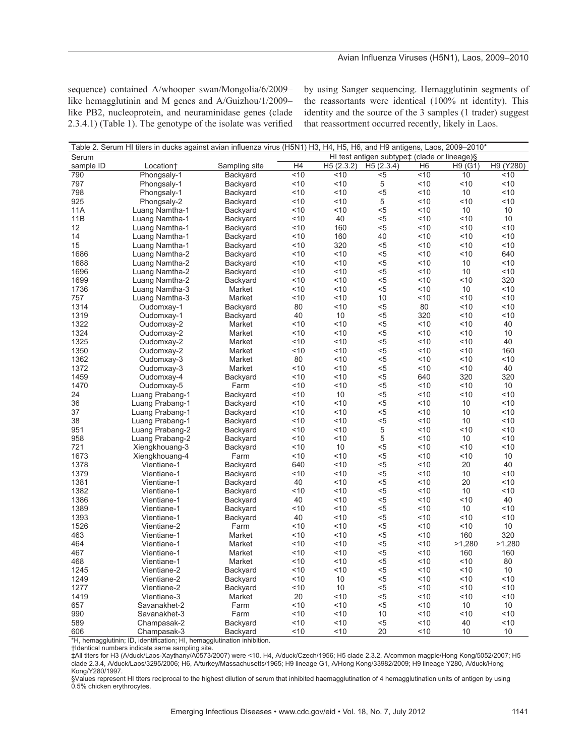## Avian Influenza Viruses (H5N1), Laos, 2009-2010

sequence) contained A/whooper swan/Mongolia/6/2009– like hemagglutinin and M genes and A/Guizhou/1/2009– like PB2, nucleoprotein, and neuraminidase genes (clade  $2.3.4.1$ ) (Table 1). The genotype of the isolate was verified by using Sanger sequencing. Hemagglutinin segments of the reassortants were identical (100% nt identity). This identity and the source of the 3 samples (1 trader) suggest that reassortment occurred recently, likely in Laos.

| Table 2. Serum HI titers in ducks against avian influenza virus (H5N1) H3, H4, H5, H6, and H9 antigens, Laos, 2009–2010* |                       |               |                |           |                                              |                |         |           |  |  |  |
|--------------------------------------------------------------------------------------------------------------------------|-----------------------|---------------|----------------|-----------|----------------------------------------------|----------------|---------|-----------|--|--|--|
| Serum                                                                                                                    |                       |               |                |           | HI test antigen subtype‡ (clade or lineage)§ |                |         |           |  |  |  |
| sample ID                                                                                                                | Location <sup>+</sup> | Sampling site | H <sub>4</sub> | H5(2.3.2) | H5(2.3.4)                                    | H <sub>6</sub> | H9 (G1) | H9 (Y280) |  |  |  |
| 790                                                                                                                      | Phongsaly-1           | Backyard      | 10             | ~10       | $5$                                          | 10             | 10      | ~10       |  |  |  |
| 797                                                                                                                      | Phongsaly-1           | Backyard      | 10             | ~10       | $\,$ 5 $\,$                                  | < 10           | ~10     | ~10       |  |  |  |
| 798                                                                                                                      | Phongsaly-1           | Backyard      | 10             | ~10       | $5$                                          | < 10           | 10      | ~10       |  |  |  |
| 925                                                                                                                      | Phongsaly-2           | Backyard      | < 10           | 10        | 5                                            | < 10           | < 10    | < 10      |  |  |  |
| 11A                                                                                                                      | Luang Namtha-1        | Backyard      | 10             | 10        | $5$                                          | < 10           | 10      | 10        |  |  |  |
| 11B                                                                                                                      | Luang Namtha-1        | Backyard      | < 10           | 40        | $5$                                          | < 10           | < 10    | 10        |  |  |  |
| 12                                                                                                                       | Luang Namtha-1        | Backyard      | < 10           | 160       | $5$                                          | ~10            | < 10    | < 10      |  |  |  |
| 14                                                                                                                       | Luang Namtha-1        | Backyard      | ~10            | 160       | 40                                           | 10             | $<$ 10  | ~10       |  |  |  |
| 15                                                                                                                       | Luang Namtha-1        | Backyard      | < 10           | 320       | $5$                                          | < 10           | ~10     | ~10       |  |  |  |
| 1686                                                                                                                     |                       |               | < 10           | < 10      | $5$                                          | < 10           | < 10    | 640       |  |  |  |
|                                                                                                                          | Luang Namtha-2        | Backyard      | 10             | ~10       | $5$                                          | < 10           |         | ~10       |  |  |  |
| 1688                                                                                                                     | Luang Namtha-2        | Backyard      |                |           |                                              |                | 10      |           |  |  |  |
| 1696                                                                                                                     | Luang Namtha-2        | Backyard      | < 10           | ~10       | $5$                                          | 10             | 10      | ~10       |  |  |  |
| 1699                                                                                                                     | Luang Namtha-2        | Backyard      | ~10            | ~10       | $5$                                          | < 10           | < 10    | 320       |  |  |  |
| 1736                                                                                                                     | Luang Namtha-3        | Market        | 10             | ~10       | $5$                                          | < 10           | 10      | ~10       |  |  |  |
| 757                                                                                                                      | Luang Namtha-3        | Market        | 10             | 10        | 10                                           | < 10           | < 10    | < 10      |  |  |  |
| 1314                                                                                                                     | Oudomxay-1            | Backyard      | 80             | < 10      | $5$                                          | 80             | 10      | ~10       |  |  |  |
| 1319                                                                                                                     | Oudomxay-1            | Backyard      | 40             | 10        | $5$                                          | 320            | ~10     | ~10       |  |  |  |
| 1322                                                                                                                     | Oudomxay-2            | Market        | 10             | 10        | $5$                                          | 10             | 10      | 40        |  |  |  |
| 1324                                                                                                                     | Oudomxay-2            | Market        | 10             | < 10      | $5$                                          | < 10           | < 10    | 10        |  |  |  |
| 1325                                                                                                                     | Oudomxay-2            | Market        | 10             | < 10      | $5$                                          | < 10           | 10      | 40        |  |  |  |
| 1350                                                                                                                     | Oudomxay-2            | Market        | 10             | < 10      | $5$                                          | < 10           | < 10    | 160       |  |  |  |
| 1362                                                                                                                     | Oudomxay-3            | Market        | 80             | 10        | $5$                                          | ~10            | ~10     | < 10      |  |  |  |
| 1372                                                                                                                     | Oudomxay-3            | Market        | 10             | ~10       | $5$                                          | 10             | 10      | 40        |  |  |  |
| 1459                                                                                                                     | Oudomxay-4            | Backyard      | 10             | < 10      | $5$                                          | 640            | 320     | 320       |  |  |  |
| 1470                                                                                                                     | Oudomxay-5            | Farm          | 10             | < 10      | $5$                                          | < 10           | < 10    | 10        |  |  |  |
| 24                                                                                                                       | Luang Prabang-1       | Backyard      | 10             | 10        | $5$                                          | < 10           | < 10    | ~10       |  |  |  |
| 36                                                                                                                       | Luang Prabang-1       | Backyard      | < 10           | ~10       | $5$                                          | 10             | 10      | ~10       |  |  |  |
| 37                                                                                                                       | Luang Prabang-1       | Backyard      | < 10           | ~10       | $5$                                          | < 10           | 10      | ~10       |  |  |  |
| 38                                                                                                                       | Luang Prabang-1       | Backyard      | 10             | ~10       | $5$                                          | < 10           | 10      | < 10      |  |  |  |
| 951                                                                                                                      | Luang Prabang-2       | Backyard      | < 10           | 10        | 5                                            | < 10           | < 10    | < 10      |  |  |  |
| 958                                                                                                                      | Luang Prabang-2       | Backyard      | ~10            | ~10       | 5                                            | 10             | 10      | ~10       |  |  |  |
| 721                                                                                                                      | Xiengkhouang-3        | Backyard      | 10             | 10        | $5$                                          | < 10           | ~10     | ~10       |  |  |  |
| 1673                                                                                                                     | Xiengkhouang-4        | Farm          | < 10           | ~10       | $5$                                          | 10             | < 10    | 10        |  |  |  |
| 1378                                                                                                                     | Vientiane-1           | Backyard      | 640            | 10        | $5$                                          | < 10           | 20      | 40        |  |  |  |
| 1379                                                                                                                     | Vientiane-1           | Backyard      | 10             | 10        | $5$                                          | < 10           | 10      | < 10      |  |  |  |
| 1381                                                                                                                     | Vientiane-1           | Backyard      | 40             | 10        | $5$                                          | < 10           | 20      | < 10      |  |  |  |
| 1382                                                                                                                     | Vientiane-1           | Backyard      | 10             | 10        | $5$                                          | < 10           | 10      | < 10      |  |  |  |
| 1386                                                                                                                     | Vientiane-1           | Backyard      | 40             | 10        | $5$                                          | 10             | 10      | 40        |  |  |  |
| 1389                                                                                                                     | Vientiane-1           | Backyard      | 10             | 10        | $5$                                          | < 10           | 10      | < 10      |  |  |  |
| 1393                                                                                                                     | Vientiane-1           | Backyard      | 40             | 10        | $5$                                          | < 10           | < 10    | < 10      |  |  |  |
| 1526                                                                                                                     | Vientiane-2           | Farm          | 10             | ~10       | $5$                                          | < 10           | ~10     | 10        |  |  |  |
| 463                                                                                                                      | Vientiane-1           | Market        | 10             | 10        | $5$                                          | 10             | 160     | 320       |  |  |  |
| 464                                                                                                                      |                       |               | < 10           | ~10       | $5$                                          |                |         | >1,280    |  |  |  |
|                                                                                                                          | Vientiane-1           | Market        |                |           |                                              | ~10            | >1,280  |           |  |  |  |
| 467                                                                                                                      | Vientiane-1           | Market        | 10             | ~10       | $5$                                          | 10             | 160     | 160       |  |  |  |
| 468                                                                                                                      | Vientiane-1           | Market        | < 10           | 10        | $5$                                          | 10             | < 10    | 80        |  |  |  |
| 1245                                                                                                                     | Vientiane-2           | Backyard      | ~10            | ~10       | $5$                                          | < 10           | 10      | 10        |  |  |  |
| 1249                                                                                                                     | Vientiane-2           | Backyard      | 10             | 10        | $5$                                          | ~10            | ~10     | ~10       |  |  |  |
| 1277                                                                                                                     | Vientiane-2           | Backyard      | 10             | 10        | $5$                                          | 10             | 10      | ~10       |  |  |  |
| 1419                                                                                                                     | Vientiane-3           | Market        | 20             | 10        | $5$                                          | < 10           | < 10    | ~10       |  |  |  |
| 657                                                                                                                      | Savanakhet-2          | Farm          | 10             | ~10       | $5$                                          | 10             | 10      | 10        |  |  |  |
| 990                                                                                                                      | Savanakhet-3          | Farm          | 10             | 10        | 10                                           | 10             | < 10    | < 10      |  |  |  |
| 589                                                                                                                      | Champasak-2           | Backyard      | 10             | 10        | $5$                                          | < 10           | 40      | < 10      |  |  |  |
| 606                                                                                                                      | Champasak-3           | Backyard      | ~10            | 10        | 20                                           | 10             | 10      | 10        |  |  |  |

\*H, hemagglutinin; ID, identification; HI, hemagglutination inhibition.

†Identical numbers indicate same sampling site.

‡All titers for H3 (A/duck/Laos-Xaythany/A0573/2007) were <10. H4, A/duck/Czech/1956; H5 clade 2.3.2, A/common magpie/Hong Kong/5052/2007; H5 clade 2.3.4, A/duck/Laos/3295/2006; H6, A/turkey/Massachusetts/1965; H9 lineage G1, A/Hong Kong/33982/2009; H9 lineage Y280, A/duck/Hong Kong/Y280/1997.

§Values represent HI titers reciprocal to the highest dilution of serum that inhibited haemagglutination of 4 hemagglutination units of antigen by using 0.5% chicken erythrocytes.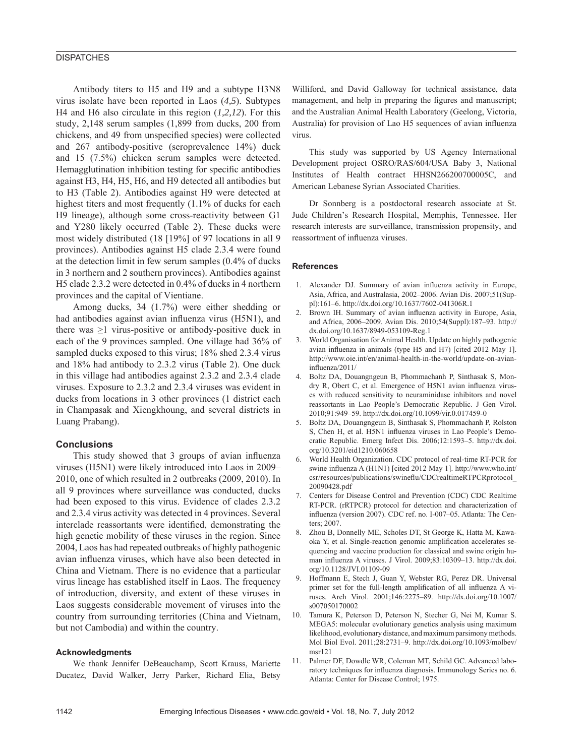## **DISPATCHES**

Antibody titers to H5 and H9 and a subtype H3N8 virus isolate have been reported in Laos (*4,5*). Subtypes H4 and H6 also circulate in this region (*1,2,12*). For this study, 2,148 serum samples (1,899 from ducks, 200 from chickens, and 49 from unspecified species) were collected and 267 antibody-positive (seroprevalence 14%) duck and 15 (7.5%) chicken serum samples were detected. Hemagglutination inhibition testing for specific antibodies against H3, H4, H5, H6, and H9 detected all antibodies but to H3 (Table 2). Antibodies against H9 were detected at highest titers and most frequently (1.1% of ducks for each H9 lineage), although some cross-reactivity between G1 and Y280 likely occurred (Table 2). These ducks were most widely distributed (18 [19%] of 97 locations in all 9 provinces). Antibodies against H5 clade 2.3.4 were found at the detection limit in few serum samples (0.4% of ducks in 3 northern and 2 southern provinces). Antibodies against H5 clade 2.3.2 were detected in 0.4% of ducks in 4 northern provinces and the capital of Vientiane.

Among ducks, 34 (1.7%) were either shedding or had antibodies against avian influenza virus (H5N1), and there was >1 virus-positive or antibody-positive duck in each of the 9 provinces sampled. One village had 36% of sampled ducks exposed to this virus; 18% shed 2.3.4 virus and 18% had antibody to 2.3.2 virus (Table 2). One duck in this village had antibodies against 2.3.2 and 2.3.4 clade viruses. Exposure to 2.3.2 and 2.3.4 viruses was evident in ducks from locations in 3 other provinces (1 district each in Champasak and Xiengkhoung, and several districts in Luang Prabang).

#### **Conclusions**

This study showed that 3 groups of avian influenza viruses (H5N1) were likely introduced into Laos in 2009– 2010, one of which resulted in 2 outbreaks (2009, 2010). In all 9 provinces where surveillance was conducted, ducks had been exposed to this virus. Evidence of clades 2.3.2 and 2.3.4 virus activity was detected in 4 provinces. Several interclade reassortants were identified, demonstrating the high genetic mobility of these viruses in the region. Since 2004, Laos has had repeated outbreaks of highly pathogenic avian influenza viruses, which have also been detected in China and Vietnam. There is no evidence that a particular virus lineage has established itself in Laos. The frequency of introduction, diversity, and extent of these viruses in Laos suggests considerable movement of viruses into the country from surrounding territories (China and Vietnam, but not Cambodia) and within the country.

#### **Acknowledgments**

We thank Jennifer DeBeauchamp, Scott Krauss, Mariette Ducatez, David Walker, Jerry Parker, Richard Elia, Betsy Williford, and David Galloway for technical assistance, data management, and help in preparing the figures and manuscript; and the Australian Animal Health Laboratory (Geelong, Victoria, Australia) for provision of Lao H5 sequences of avian influenza virus.

This study was supported by US Agency International Development project OSRO/RAS/604/USA Baby 3, National Institutes of Health contract HHSN266200700005C, and American Lebanese Syrian Associated Charities.

Dr Sonnberg is a postdoctoral research associate at St. Jude Children's Research Hospital, Memphis, Tennessee. Her research interests are surveillance, transmission propensity, and reassortment of influenza viruses.

#### **References**

- 1. Alexander DJ. Summary of avian influenza activity in Europe, Asia, Africa, and Australasia, 2002–2006. Avian Dis. 2007;51(Suppl):161–6. http://dx.doi.org/10.1637/7602-041306R.1
- Brown IH. Summary of avian influenza activity in Europe, Asia, and Africa, 2006–2009. Avian Dis. 2010;54(Suppl):187–93. http:// dx.doi.org/10.1637/8949-053109-Reg.1
- 3. World Organisation for Animal Health. Update on highly pathogenic avian influenza in animals (type H5 and H7) [cited 2012 May 1]. http://www.oie.int/en/animal-health-in-the-world/update-on-avianinfluenza/2011/
- 4. Boltz DA, Douangngeun B, Phommachanh P, Sinthasak S, Mondry R, Obert C, et al. Emergence of H5N1 avian influenza viruses with reduced sensitivity to neuraminidase inhibitors and novel reassortants in Lao People's Democratic Republic. J Gen Virol. 2010;91:949–59. http://dx.doi.org/10.1099/vir.0.017459-0
- 5. Boltz DA, Douangngeun B, Sinthasak S, Phommachanh P, Rolston S, Chen H, et al. H5N1 influenza viruses in Lao People's Democratic Republic. Emerg Infect Dis. 2006;12:1593–5. http://dx.doi. org/10.3201/eid1210.060658
- 6. World Health Organization. CDC protocol of real-time RT-PCR for swine influenza A (H1N1) [cited 2012 May 1]. http://www.who.int/ csr/resources/publications/swineflu/CDCrealtimeRTPCRprotocol\_ 20090428.pdf
- 7. Centers for Disease Control and Prevention (CDC) CDC Realtime RT-PCR. (rRTPCR) protocol for detection and characterization of influenza (version 2007). CDC ref. no. I-007-05. Atlanta: The Centers; 2007.
- 8. Zhou B, Donnelly ME, Scholes DT, St George K, Hatta M, Kawaoka Y, et al. Single-reaction genomic amplification accelerates sequencing and vaccine production for classical and swine origin human influenza A viruses. J Virol. 2009;83:10309-13. http://dx.doi. org/10.1128/JVI.01109-09
- 9. Hoffmann E, Stech J, Guan Y, Webster RG, Perez DR. Universal primer set for the full-length amplification of all influenza A viruses. Arch Virol. 2001;146:2275–89. http://dx.doi.org/10.1007/ s007050170002
- 10. Tamura K, Peterson D, Peterson N, Stecher G, Nei M, Kumar S. MEGA5: molecular evolutionary genetics analysis using maximum likelihood, evolutionary distance, and maximum parsimony methods. Mol Biol Evol. 2011;28:2731–9. http://dx.doi.org/10.1093/molbev/ msr121
- 11. Palmer DF, Dowdle WR, Coleman MT, Schild GC. Advanced laboratory techniques for influenza diagnosis. Immunology Series no. 6. Atlanta: Center for Disease Control; 1975.